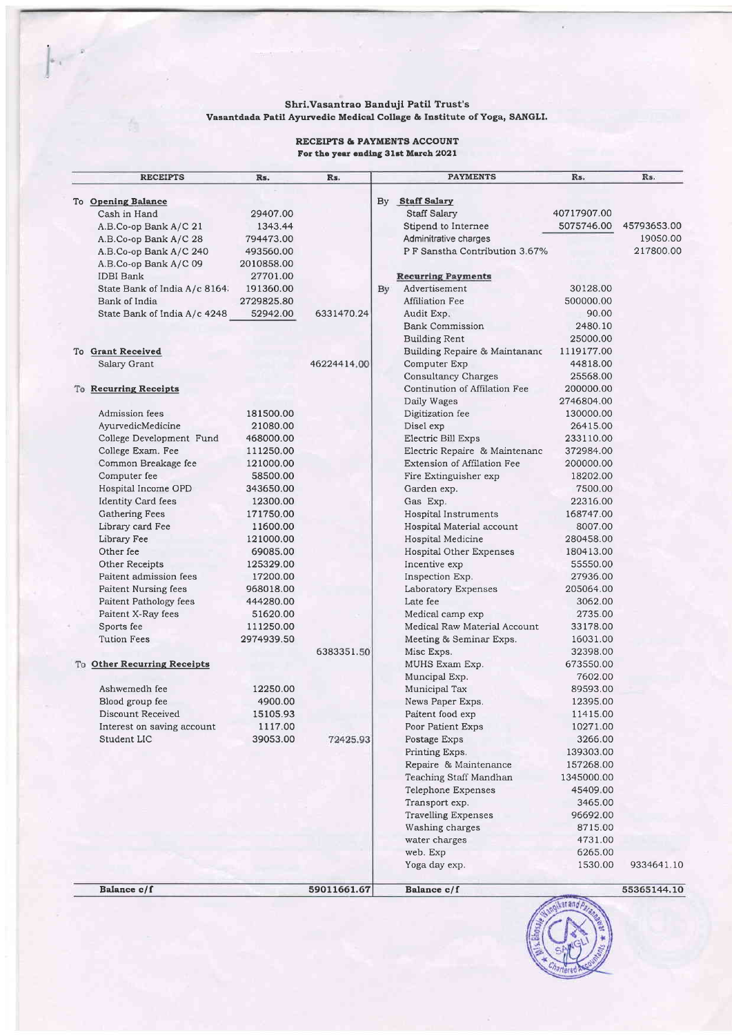# Shri.Vasantrao Banduji Patil Trust's<br>Vasantdada Patil Ayurvedic Medical Collage & Institute of Yoga, SANGLI.

#### RECEIPTS & PAYMENTS ACCOUNT For the year ending 31st March 2021

| <b>RECEIPTS</b>               | Rs.        | Rs.         |    | <b>PAYMENTS</b>                | Rs.         | Rs.         |
|-------------------------------|------------|-------------|----|--------------------------------|-------------|-------------|
| To Opening Balance            |            |             |    | By Staff Salary                |             |             |
| Cash in Hand                  | 29407.00   |             |    | Staff Salary                   | 40717907.00 |             |
| A.B.Co-op Bank A/C 21         | 1343.44    |             |    | Stipend to Internee            | 5075746.00  | 45793653.00 |
| A.B.Co-op Bank A/C 28         | 794473.00  |             |    | Adminitrative charges          |             | 19050.00    |
| A.B.Co-op Bank A/C 240        | 493560.00  |             |    | P F Sanstha Contribution 3.67% |             | 217800.00   |
| A.B.Co-op Bank A/C 09         | 2010858.00 |             |    |                                |             |             |
| <b>IDBI</b> Bank              | 27701.00   |             |    | <b>Recurring Payments</b>      |             |             |
| State Bank of India A/c 8164. | 191360.00  |             | By | Advertisement                  | 30128.00    |             |
| Bank of India                 | 2729825.80 |             |    | Affiliation Fee                | 500000.00   |             |
| State Bank of India A/c 4248  | 52942.00   | 6331470.24  |    | Audit Exp.                     | 90.00       |             |
|                               |            |             |    | <b>Bank Commission</b>         | 2480.10     |             |
|                               |            |             |    | <b>Building Rent</b>           | 25000.00    |             |
| To Grant Received             |            |             |    | Building Repaire & Maintananc  | 1119177.00  |             |
| Salary Grant                  |            | 46224414.00 |    | Computer Exp                   | 44818.00    |             |
|                               |            |             |    | <b>Consultancy Charges</b>     | 25568.00    |             |
| <b>To Recurring Receipts</b>  |            |             |    | Continution of Affilation Fee  | 200000.00   |             |
|                               |            |             |    | Daily Wages                    | 2746804.00  |             |
| Admission fees                | 181500.00  |             |    | Digitization fee               | 130000.00   |             |
| AyurvedicMedicine             | 21080.00   |             |    | Disel exp                      | 26415.00    |             |
| College Development Fund      | 468000.00  |             |    | Electric Bill Exps             | 233110.00   |             |
| College Exam. Fee             | 111250.00  |             |    | Electric Repaire & Maintenanc  | 372984.00   |             |
| Common Breakage fee           | 121000.00  |             |    | Extension of Affilation Fee    | 200000.00   |             |
| Computer fee                  | 58500.00   |             |    | Fire Extinguisher exp          | 18202.00    |             |
| Hospital Income OPD           | 343650.00  |             |    | Garden exp.                    | 7500.00     |             |
| <b>Identity Card fees</b>     | 12300.00   |             |    | Gas Exp.                       | 22316.00    |             |
| Gathering Fees                | 171750.00  |             |    | Hospital Instruments           | 168747.00   |             |
| Library card Fee              | 11600.00   |             |    | Hospital Material account      | 8007.00     |             |
| Library Fee                   | 121000.00  |             |    | Hospital Medicine              | 280458.00   |             |
| Other fee                     | 69085.00   |             |    | Hospital Other Expenses        | 180413.00   |             |
| Other Receipts                | 125329.00  |             |    | Incentive exp                  | 55550.00    |             |
| Paitent admission fees        | 17200.00   |             |    | Inspection Exp.                | 27936.00    |             |
| <b>Paitent Nursing fees</b>   | 968018.00  |             |    | Laboratory Expenses            | 205064.00   |             |
| Paitent Pathology fees        | 444280.00  |             |    | Late fee                       | 3062.00     |             |
| Paitent X-Ray fees            | 51620.00   |             |    | Medical camp exp               | 2735.00     |             |
| Sports fee                    | 111250.00  |             |    | Medical Raw Material Account   | 33178.00    |             |
| <b>Tution Fees</b>            | 2974939.50 |             |    | Meeting & Seminar Exps.        | 16031.00    |             |
|                               |            | 6383351.50  |    | Misc Exps.                     | 32398.00    |             |
| To Other Recurring Receipts   |            |             |    | MUHS Exam Exp.                 | 673550.00   |             |
|                               |            |             |    | Muncipal Exp.                  | 7602.00     |             |
| Ashwemedh fee                 | 12250.00   |             |    | Municipal Tax                  | 89593.00    |             |
| Blood group fee               | 4900.00    |             |    | News Paper Exps.               | 12395.00    |             |
| Discount Received             | 15105.93   |             |    | Paitent food exp               | 11415.00    |             |
| Interest on saving account    | 1117.00    |             |    | Poor Patient Exps              | 10271.00    |             |
| Student LIC                   | 39053.00   | 72425.93    |    | Postage Exps                   | 3266.00     |             |
|                               |            |             |    | Printing Exps.                 | 139303.00   |             |
|                               |            |             |    | Repaire & Maintenance          | 157268.00   |             |
|                               |            |             |    | Teaching Staff Mandhan         | 1345000.00  |             |
|                               |            |             |    | Telephone Expenses             | 45409.00    |             |
|                               |            |             |    | Transport exp.                 | 3465.00     |             |
|                               |            |             |    | <b>Travelling Expenses</b>     | 96692.00    |             |
|                               |            |             |    | Washing charges                | 8715.00     |             |
|                               |            |             |    | water charges                  | 4731.00     |             |
|                               |            |             |    | web. Exp                       | 6265.00     |             |
|                               |            |             |    | Yoga day exp.                  | 1530.00     | 9334641.10  |
| Balance c/f                   |            | 59011661.67 |    | Balance c/f                    |             | 55365144.10 |

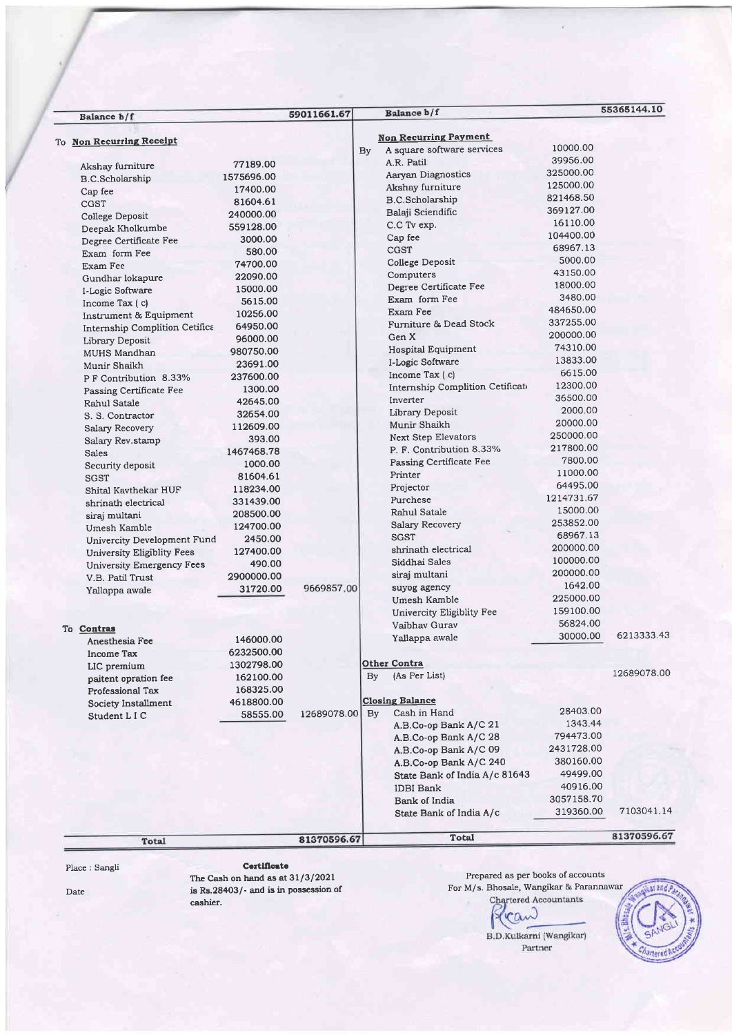| Balance b/f                                          |            | 59011661.67 |                        | Balance b/f                      |            | 55365144.10 |
|------------------------------------------------------|------------|-------------|------------------------|----------------------------------|------------|-------------|
|                                                      |            |             |                        | <b>Non Recurring Payment</b>     |            |             |
| To Non Recurring Receipt                             |            |             | By                     | A square software services       | 10000.00   |             |
|                                                      | 77189.00   |             |                        | A.R. Patil                       | 39956.00   |             |
| Akshay furniture                                     |            |             |                        | Aarvan Diagnostics               | 325000.00  |             |
| <b>B.C.Scholarship</b>                               | 1575696.00 |             |                        | Akshay furniture                 | 125000.00  |             |
| Cap fee                                              | 17400.00   |             |                        | B.C.Scholarship                  | 821468.50  |             |
| CGST                                                 | 81604.61   |             |                        | Balaji Sciendific                | 369127.00  |             |
| College Deposit                                      | 240000.00  |             |                        |                                  | 16110.00   |             |
| Deepak Kholkumbe                                     | 559128.00  |             |                        | C.C Tv exp.                      | 104400.00  |             |
| Degree Certificate Fee                               | 3000.00    |             |                        | Cap fee                          | 68967.13   |             |
| Exam form Fee                                        | 580.00     |             |                        | CGST                             | 5000.00    |             |
| Exam Fee                                             | 74700.00   |             |                        | College Deposit                  | 43150.00   |             |
| Gundhar lokapure                                     | 22090.00   |             |                        | Computers                        |            |             |
| I-Logic Software                                     | 15000.00   |             |                        | Degree Certificate Fee           | 18000.00   |             |
| Income Tax $(c)$                                     | 5615.00    |             |                        | Exam form Fee                    | 3480.00    |             |
| Instrument & Equipment                               | 10256.00   |             |                        | <b>Exam Fee</b>                  | 484650.00  |             |
| Internship Complition Cetifica                       | 64950.00   |             |                        | Furniture & Dead Stock           | 337255.00  |             |
| Library Deposit                                      | 96000.00   |             |                        | Gen X                            | 200000.00  |             |
| MUHS Mandhan                                         | 980750.00  |             |                        | Hospital Equipment               | 74310.00   |             |
| Munir Shaikh                                         | 23691.00   |             |                        | I-Logic Software                 | 13833.00   |             |
| PF Contribution 8.33%                                | 237600.00  |             |                        | Income Tax (c)                   | 6615.00    |             |
| Passing Certificate Fee                              | 1300.00    |             |                        | Internship Complition Cetificate | 12300.00   |             |
| Rahul Satale                                         | 42645.00   |             |                        | Inverter                         | 36500.00   |             |
| S. S. Contractor                                     | 32654.00   |             |                        | Library Deposit                  | 2000.00    |             |
| Salary Recovery                                      | 112609.00  |             |                        | Munir Shaikh                     | 20000.00   |             |
| Salary Rev.stamp                                     | 393.00     |             |                        | <b>Next Step Elevators</b>       | 250000.00  |             |
| <b>Sales</b>                                         | 1467468.78 |             |                        | P. F. Contribution 8.33%         | 217800.00  |             |
| Security deposit                                     | 1000.00    |             |                        | Passing Certificate Fee          | 7800.00    |             |
| SGST                                                 | 81604.61   |             |                        | Printer                          | 11000.00   |             |
| Shital Kaythekar HUF                                 | 118234.00  |             |                        | Projector                        | 64495.00   |             |
| shrinath electrical                                  | 331439.00  |             |                        | Purchese                         | 1214731.67 |             |
| siraj multani                                        | 208500.00  |             |                        | Rahul Satale                     | 15000.00   |             |
| Umesh Kamble                                         | 124700.00  |             |                        | Salary Recovery                  | 253852.00  |             |
| Univercity Development Fund                          | 2450.00    |             |                        | <b>SGST</b>                      | 68967.13   |             |
| University Eligiblity Fees                           | 127400.00  |             |                        | shrinath electrical              | 200000.00  |             |
|                                                      | 490.00     |             |                        | Siddhai Sales                    | 100000.00  |             |
| University Emergency Fees<br><b>V.B. Patil Trust</b> | 2900000.00 |             |                        | siraj multani                    | 200000.00  |             |
|                                                      | 31720.00   | 9669857.00  |                        | suyog agency                     | 1642.00    |             |
| Yallappa awale                                       |            |             |                        | Umesh Kamble                     | 225000.00  |             |
|                                                      |            |             |                        | Univercity Eligiblity Fee        | 159100.00  |             |
|                                                      |            |             |                        | Vaibhay Gurav                    | 56824.00   |             |
| To Contras                                           |            |             |                        |                                  | 30000.00   | 6213333.43  |
| Anesthesia Fee                                       | 146000.00  |             |                        | Yallappa awale                   |            |             |
| <b>Income Tax</b>                                    | 6232500.00 |             |                        |                                  |            |             |
| LIC premium                                          | 1302798.00 |             |                        | Other Contra                     |            | 12689078.00 |
| paitent opration fee                                 | 162100.00  |             | By                     | (As Per List)                    |            |             |
| Professional Tax                                     | 168325.00  |             |                        |                                  |            |             |
| Society Installment                                  | 4618800.00 |             |                        | <b>Closing Balance</b>           |            |             |
| Student L I C                                        | 58555.00   | 12689078.00 | $\mathbf{B}\mathbf{v}$ | Cash in Hand                     | 28403.00   |             |
|                                                      |            |             |                        | A.B.Co-op Bank A/C 21            | 1343.44    |             |
|                                                      |            |             |                        | A.B.Co-op Bank A/C 28            | 794473.00  |             |
|                                                      |            |             |                        | A.B.Co-op Bank A/C 09            | 2431728.00 |             |
|                                                      |            |             |                        | A.B.Co-op Bank A/C 240           | 380160.00  |             |
|                                                      |            |             |                        | State Bank of India A/c 81643    | 49499.00   |             |
|                                                      |            |             |                        | IDBI Bank                        | 40916.00   |             |
|                                                      |            |             |                        | <b>Bank of India</b>             | 3057158.70 |             |
|                                                      |            |             |                        | State Bank of India A/c          | 319360.00  | 7103041.14  |
| Total                                                |            | 81370596.67 |                        | Total                            |            | 81370596.67 |
|                                                      |            |             |                        |                                  |            |             |

Date

The Cash on hand as at 31/3/2021 is Rs.28403/- and is in possession of cashier.

Prepared as per books of accounts For M/s. Bhosale, Wangikar & Parannawar

can B.D.Kulkarni (Wangikar)  ${\tt Partner}$ 

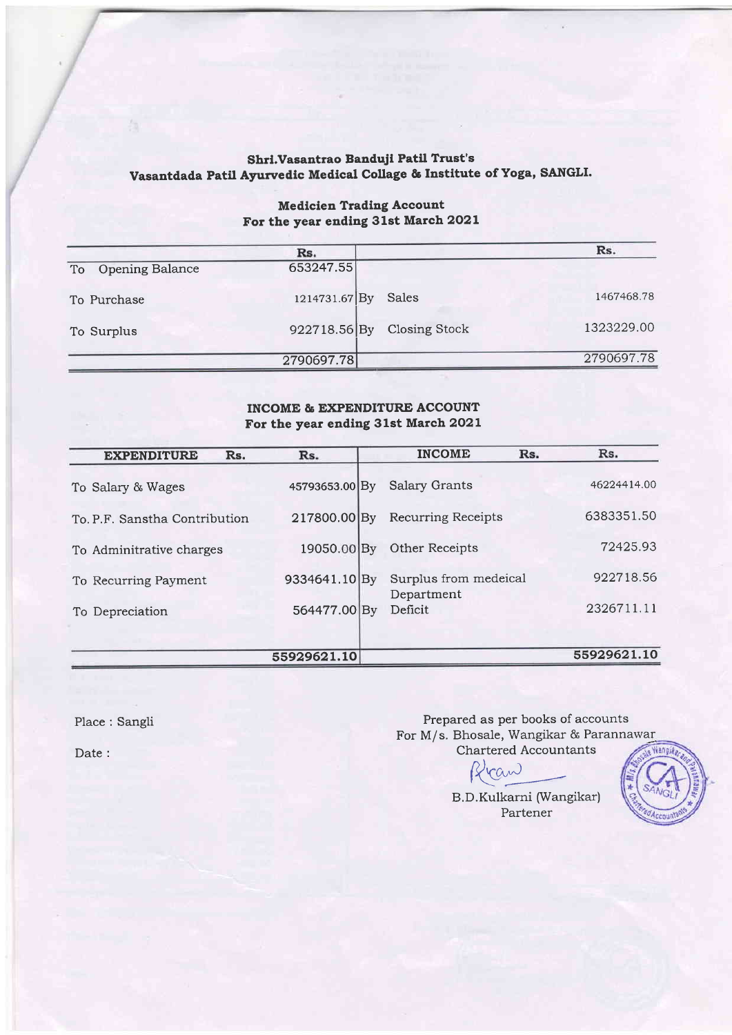## Shri.Vasantrao Banduji Patil Trust's Vasantdada Patil Ayurvedic Medical Collage & Institute of Yoga, SANGLI.

|                    | Rs.           |                      | Rs.        |
|--------------------|---------------|----------------------|------------|
| To Opening Balance | 653247.55     |                      |            |
| To Purchase        | 1214731.67 By | Sales                | 1467468.78 |
| To Surplus         | 922718.56By   | <b>Closing Stock</b> | 1323229.00 |
|                    | 2790697.78    |                      | 2790697.78 |

## Medicien Trading Account For the year ending 31st March 2O2L

## INCOME & EXPENDITURE ACCOUNT For the year ending 31st March 2O2L

| <b>EXPENDITURE</b><br>Rs.     | Rs.            |    | <b>INCOME</b>                       | Rs. | Rs.         |
|-------------------------------|----------------|----|-------------------------------------|-----|-------------|
| To Salary & Wages             | 45793653.00 By |    | <b>Salary Grants</b>                |     | 46224414.00 |
| To, P.F. Sanstha Contribution | 217800.00 By   |    | <b>Recurring Receipts</b>           |     | 6383351.50  |
| To Adminitrative charges      | 19050.00 By    |    | Other Receipts                      |     | 72425.93    |
| To Recurring Payment          | 9334641.10 By  |    | Surplus from medeical<br>Department |     | 922718.56   |
| To Depreciation               | 564477.00      | Bv | Deficit                             |     | 2326711.11  |
|                               |                |    |                                     |     |             |
|                               | 55929621.10    |    |                                     |     | 55929621.10 |

Place: Sangli

Prepared as per books of accounts For M/s. Bhosale, Wangikar & Parannawar Chartered Accountants

 $ran$ 

Nangil

B.D.Kulkarni (Wangikar) Partener

Date :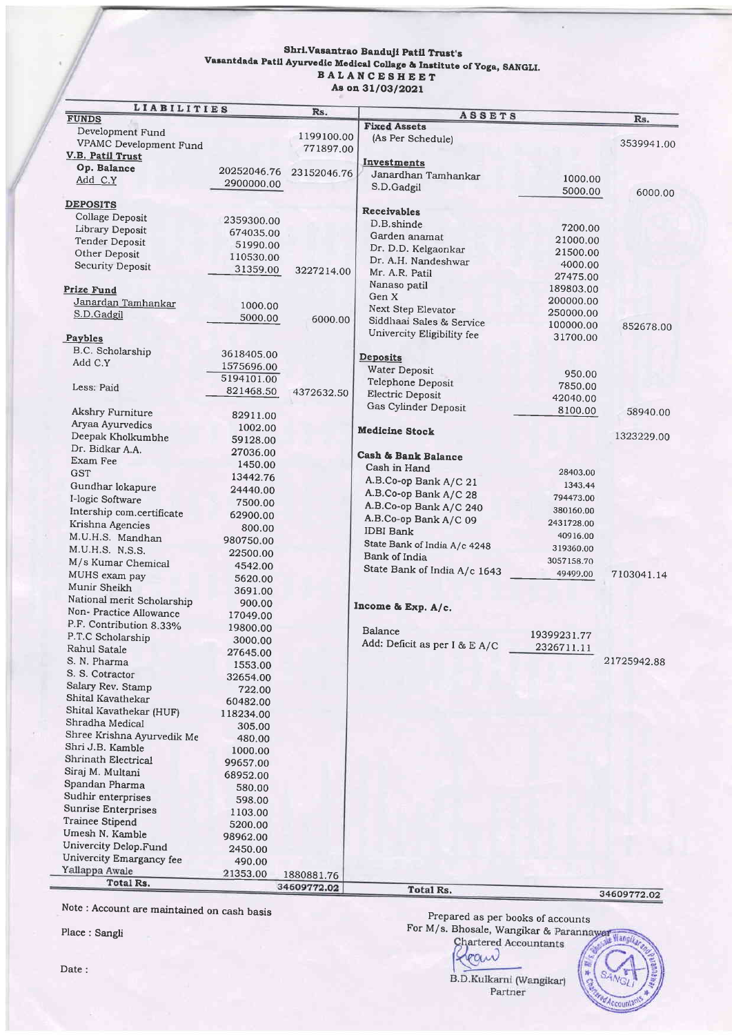#### Shri. Vasantrao Banduji Patil Trust's Vasantdada Patil Ayurvedic Medical Collage & Institute of Yoga, SANGLI. BALANCESHEET As on 31/03/2021

| <b>LIABILITIES</b>              |             | Rs.         | ASSETS                              |             |             |
|---------------------------------|-------------|-------------|-------------------------------------|-------------|-------------|
| <b>FUNDS</b>                    |             |             | <b>Fixed Assets</b>                 |             | Rs.         |
| Development Fund                |             | 1199100.00  | (As Per Schedule)                   |             |             |
| VPAMC Development Fund          |             | 771897.00   |                                     |             | 3539941.00  |
| V.B. Patil Trust<br>Op. Balance |             |             | Investments                         |             |             |
| Add C.Y                         | 20252046.76 | 23152046.76 | Janardhan Tamhankar                 | 1000.00     |             |
|                                 | 2900000.00  |             | S.D.Gadgil                          | 5000.00     | 6000.00     |
| <b>DEPOSITS</b>                 |             |             |                                     |             |             |
| Collage Deposit                 |             |             | <b>Receivables</b>                  |             |             |
| Library Deposit                 | 2359300.00  |             | D.B.shinde                          | 7200.00     |             |
| Tender Deposit                  | 674035.00   |             | Garden anamat                       | 21000.00    |             |
| Other Deposit                   | 51990.00    |             | Dr. D.D. Kelgaonkar                 | 21500.00    |             |
| Security Deposit                | 110530.00   |             | Dr. A.H. Nandeshwar                 | 4000.00     |             |
|                                 | 31359.00    | 3227214.00  | Mr. A.R. Patil                      | 27475.00    |             |
| Prize Fund                      |             |             | Nanaso patil                        | 189803.00   |             |
| Janardan Tamhankar              | 1000.00     |             | Gen X                               | 200000.00   |             |
| S.D.Gadgil                      | 5000.00     |             | Next Step Elevator                  | 250000.00   |             |
|                                 |             | 6000.00     | Siddhaai Sales & Service            | 100000.00   | 852678.00   |
| Paybles                         |             |             | Univercity Eligibility fee          | 31700.00    |             |
| B.C. Scholarship                | 3618405.00  |             |                                     |             |             |
| Add C.Y                         | 1575696.00  |             | <b>Deposits</b>                     |             |             |
|                                 | 5194101.00  |             | Water Deposit                       | 950.00      |             |
| Less: Paid                      | 821468.50   | 4372632.50  | Telephone Deposit                   | 7850.00     |             |
|                                 |             |             | Electric Deposit                    | 42040.00    |             |
| Akshry Furniture                | 82911.00    |             | Gas Cylinder Deposit                | 8100.00     | 58940.00    |
| Aryaa Ayurvedics                | 1002.00     |             | <b>Medicine Stock</b>               |             |             |
| Deepak Kholkumbhe               | 59128.00    |             |                                     |             | 1323229.00  |
| Dr. Bidkar A.A.                 | 27036.00    |             |                                     |             |             |
| Exam Fee                        | 1450.00     |             | Cash & Bank Balance<br>Cash in Hand |             |             |
| <b>GST</b>                      | 13442.76    |             |                                     | 28403.00    |             |
| Gundhar lokapure                | 24440.00    |             | A.B.Co-op Bank A/C 21               | 1343.44     |             |
| I-logic Software                | 7500.00     |             | A.B.Co-op Bank A/C 28               | 794473.00   |             |
| Intership com.certificate       | 62900.00    |             | A.B.Co-op Bank A/C 240              | 380160.00   |             |
| Krishna Agencies                | 800.00      |             | A.B.Co-op Bank A/C 09               | 2431728.00  |             |
| M.U.H.S. Mandhan                | 980750.00   |             | <b>IDBI</b> Bank                    | 40916.00    |             |
| M.U.H.S. N.S.S.                 | 22500.00    |             | State Bank of India A/c 4248        | 319360.00   |             |
| M/s Kumar Chemical              | 4542.00     |             | Bank of India                       | 3057158.70  |             |
| MUHS exam pay                   | 5620.00     |             | State Bank of India A/c 1643        | 49499.00    | 7103041.14  |
| Munir Sheikh                    | 3691.00     |             |                                     |             |             |
| National merit Scholarship      | 900.00      |             |                                     |             |             |
| Non- Practice Allowance         | 17049.00    |             | Income & Exp. A/c.                  |             |             |
| P.F. Contribution 8.33%         | 19800.00    |             |                                     |             |             |
| P.T.C Scholarship               | 3000.00     |             | <b>Balance</b>                      | 19399231.77 |             |
| Rahul Satale                    | 27645.00    |             | Add: Deficit as per I & E A/C       | 2326711.11  |             |
| S. N. Pharma                    | 1553.00     |             |                                     |             | 21725942.88 |
| S. S. Cotractor                 | 32654.00    |             |                                     |             |             |
| Salary Rev. Stamp               | 722.00      |             |                                     |             |             |
| Shital Kavathekar               | 60482.00    |             |                                     |             |             |
| Shital Kavathekar (HUF)         | 118234.00   |             |                                     |             |             |
| Shradha Medical                 | 305.00      |             |                                     |             |             |
| Shree Krishna Ayurvedik Me      | 480.00      |             |                                     |             |             |
| Shri J.B. Kamble                | 1000.00     |             |                                     |             |             |
| Shrinath Electrical             | 99657.00    |             |                                     |             |             |
| Siraj M. Multani                | 68952.00    |             |                                     |             |             |
| Spandan Pharma                  | 580.00      |             |                                     |             |             |
| Sudhir enterprises              | 598.00      |             |                                     |             |             |
| Sunrise Enterprises             | 1103.00     |             |                                     |             |             |
| Trainee Stipend                 | 5200.00     |             |                                     |             |             |
| Umesh N. Kamble                 | 98962.00    |             |                                     |             |             |
| Univercity Delop.Fund           | 2450.00     |             |                                     |             |             |
| Univercity Emargancy fee        | 490.00      |             |                                     |             |             |
| Yallappa Awale                  | 21353.00    | 1880881.76  |                                     |             |             |
| Total Rs.                       |             | 34609772.02 | Total Rs.                           |             |             |
|                                 |             |             |                                     |             | 34609772.02 |

Note: Account are maintained on cash basis

Place: Sangli

Date:



B.D.Kulkarni (Wangikar) Partner